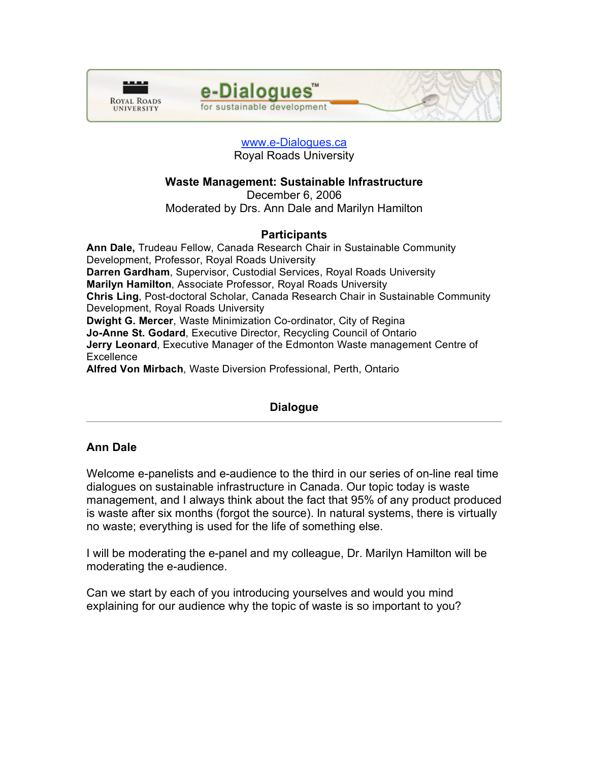



## www.e-Dialogues.ca Royal Roads University

# **Waste Management: Sustainable Infrastructure**

December 6, 2006 Moderated by Drs. Ann Dale and Marilyn Hamilton

# **Participants**

**Ann Dale,** Trudeau Fellow, Canada Research Chair in Sustainable Community Development, Professor, Royal Roads University **Darren Gardham**, Supervisor, Custodial Services, Royal Roads University **Marilyn Hamilton**, Associate Professor, Royal Roads University **Chris Ling**, Post-doctoral Scholar, Canada Research Chair in Sustainable Community Development, Royal Roads University **Dwight G. Mercer**, Waste Minimization Co-ordinator, City of Regina **Jo-Anne St. Godard**, Executive Director, Recycling Council of Ontario **Jerry Leonard**, Executive Manager of the Edmonton Waste management Centre of **Excellence Alfred Von Mirbach**, Waste Diversion Professional, Perth, Ontario

# **Dialogue**

# **Ann Dale**

Welcome e-panelists and e-audience to the third in our series of on-line real time dialogues on sustainable infrastructure in Canada. Our topic today is waste management, and I always think about the fact that 95% of any product produced is waste after six months (forgot the source). In natural systems, there is virtually no waste; everything is used for the life of something else.

I will be moderating the e-panel and my colleague, Dr. Marilyn Hamilton will be moderating the e-audience.

Can we start by each of you introducing yourselves and would you mind explaining for our audience why the topic of waste is so important to you?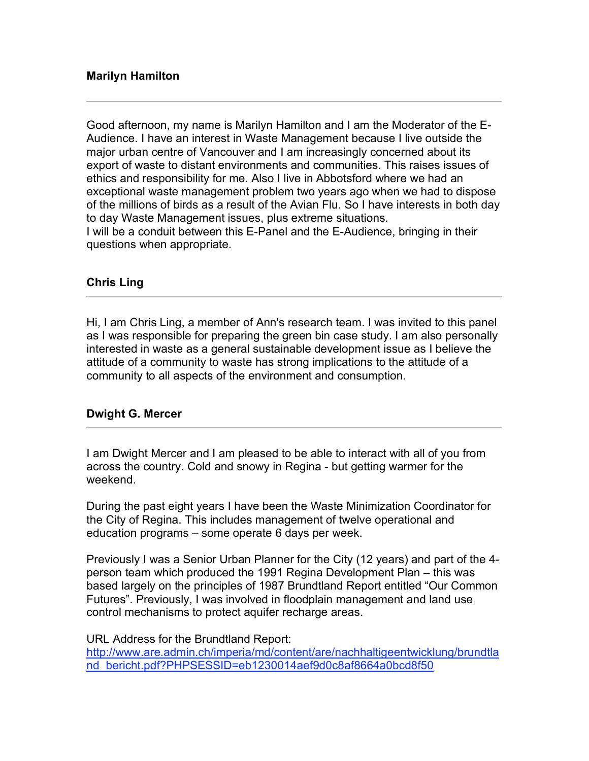# **Marilyn Hamilton**

Good afternoon, my name is Marilyn Hamilton and I am the Moderator of the E-Audience. I have an interest in Waste Management because I live outside the major urban centre of Vancouver and I am increasingly concerned about its export of waste to distant environments and communities. This raises issues of ethics and responsibility for me. Also I live in Abbotsford where we had an exceptional waste management problem two years ago when we had to dispose of the millions of birds as a result of the Avian Flu. So I have interests in both day to day Waste Management issues, plus extreme situations. I will be a conduit between this E-Panel and the E-Audience, bringing in their questions when appropriate.

# **Chris Ling**

Hi, I am Chris Ling, a member of Ann's research team. I was invited to this panel as I was responsible for preparing the green bin case study. I am also personally interested in waste as a general sustainable development issue as I believe the attitude of a community to waste has strong implications to the attitude of a community to all aspects of the environment and consumption.

# **Dwight G. Mercer**

I am Dwight Mercer and I am pleased to be able to interact with all of you from across the country. Cold and snowy in Regina - but getting warmer for the weekend.

During the past eight years I have been the Waste Minimization Coordinator for the City of Regina. This includes management of twelve operational and education programs – some operate 6 days per week.

Previously I was a Senior Urban Planner for the City (12 years) and part of the 4 person team which produced the 1991 Regina Development Plan – this was based largely on the principles of 1987 Brundtland Report entitled "Our Common Futures". Previously, I was involved in floodplain management and land use control mechanisms to protect aquifer recharge areas.

### URL Address for the Brundtland Report:

http://www.are.admin.ch/imperia/md/content/are/nachhaltigeentwicklung/brundtla nd bericht.pdf?PHPSESSID=eb1230014aef9d0c8af8664a0bcd8f50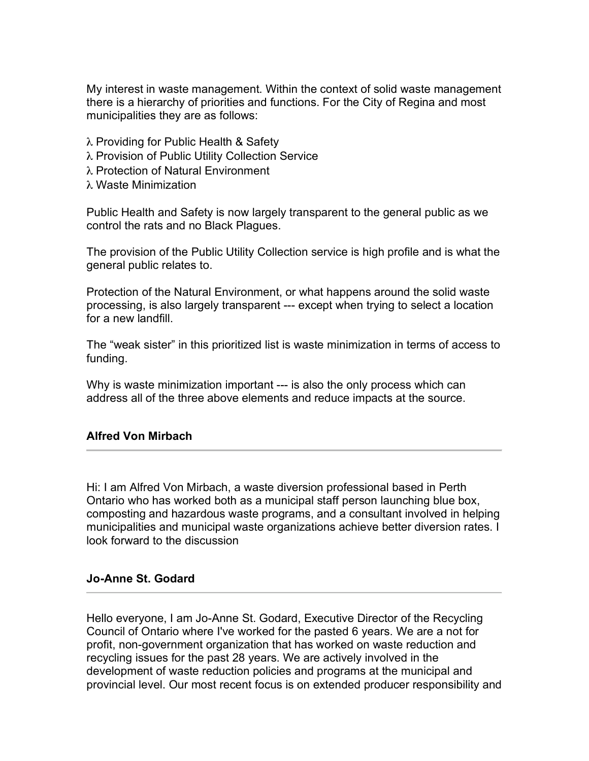My interest in waste management. Within the context of solid waste management there is a hierarchy of priorities and functions. For the City of Regina and most municipalities they are as follows:

- λ Providing for Public Health & Safety
- λ Provision of Public Utility Collection Service
- λ Protection of Natural Environment
- λ Waste Minimization

Public Health and Safety is now largely transparent to the general public as we control the rats and no Black Plagues.

The provision of the Public Utility Collection service is high profile and is what the general public relates to.

Protection of the Natural Environment, or what happens around the solid waste processing, is also largely transparent --- except when trying to select a location for a new landfill.

The "weak sister" in this prioritized list is waste minimization in terms of access to funding.

Why is waste minimization important --- is also the only process which can address all of the three above elements and reduce impacts at the source.

# **Alfred Von Mirbach**

Hi: I am Alfred Von Mirbach, a waste diversion professional based in Perth Ontario who has worked both as a municipal staff person launching blue box, composting and hazardous waste programs, and a consultant involved in helping municipalities and municipal waste organizations achieve better diversion rates. I look forward to the discussion

# **Jo-Anne St. Godard**

Hello everyone, I am Jo-Anne St. Godard, Executive Director of the Recycling Council of Ontario where I've worked for the pasted 6 years. We are a not for profit, non-government organization that has worked on waste reduction and recycling issues for the past 28 years. We are actively involved in the development of waste reduction policies and programs at the municipal and provincial level. Our most recent focus is on extended producer responsibility and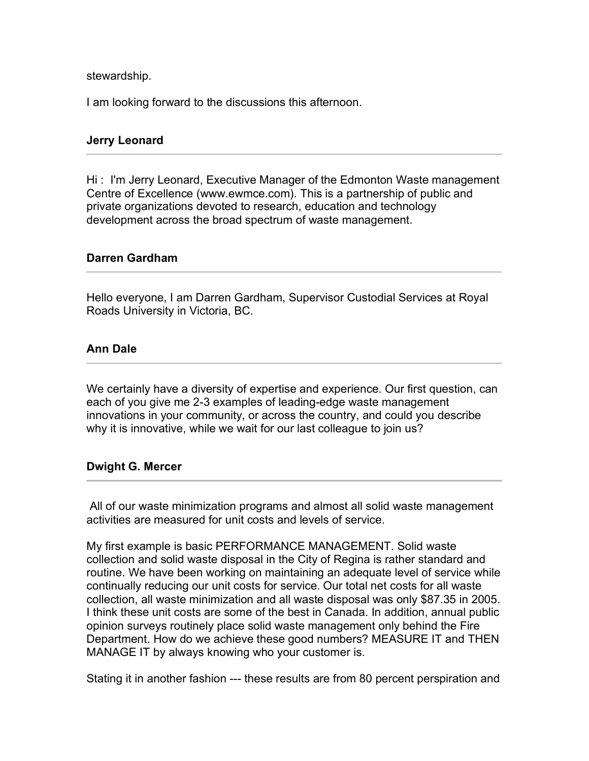stewardship.

I am looking forward to the discussions this afternoon.

# **Jerry Leonard**

Hi : I'm Jerry Leonard, Executive Manager of the Edmonton Waste management Centre of Excellence (www.ewmce.com). This is a partnership of public and private organizations devoted to research, education and technology development across the broad spectrum of waste management.

### **Darren Gardham**

Hello everyone, I am Darren Gardham, Supervisor Custodial Services at Royal Roads University in Victoria, BC.

# **Ann Dale**

We certainly have a diversity of expertise and experience. Our first question, can each of you give me 2-3 examples of leading-edge waste management innovations in your community, or across the country, and could you describe why it is innovative, while we wait for our last colleague to join us?

# **Dwight G. Mercer**

All of our waste minimization programs and almost all solid waste management activities are measured for unit costs and levels of service.

My first example is basic PERFORMANCE MANAGEMENT. Solid waste collection and solid waste disposal in the City of Regina is rather standard and routine. We have been working on maintaining an adequate level of service while continually reducing our unit costs for service. Our total net costs for all waste collection, all waste minimization and all waste disposal was only \$87.35 in 2005. I think these unit costs are some of the best in Canada. In addition, annual public opinion surveys routinely place solid waste management only behind the Fire Department. How do we achieve these good numbers? MEASURE IT and THEN MANAGE IT by always knowing who your customer is.

Stating it in another fashion --- these results are from 80 percent perspiration and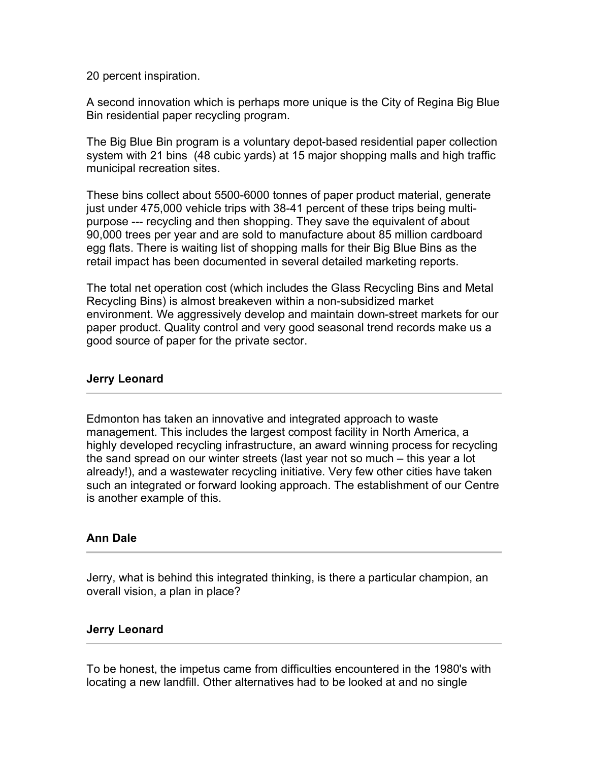20 percent inspiration.

A second innovation which is perhaps more unique is the City of Regina Big Blue Bin residential paper recycling program.

The Big Blue Bin program is a voluntary depot-based residential paper collection system with 21 bins (48 cubic yards) at 15 major shopping malls and high traffic municipal recreation sites.

These bins collect about 5500-6000 tonnes of paper product material, generate just under 475,000 vehicle trips with 38-41 percent of these trips being multipurpose --- recycling and then shopping. They save the equivalent of about 90,000 trees per year and are sold to manufacture about 85 million cardboard egg flats. There is waiting list of shopping malls for their Big Blue Bins as the retail impact has been documented in several detailed marketing reports.

The total net operation cost (which includes the Glass Recycling Bins and Metal Recycling Bins) is almost breakeven within a non-subsidized market environment. We aggressively develop and maintain down-street markets for our paper product. Quality control and very good seasonal trend records make us a good source of paper for the private sector.

# **Jerry Leonard**

Edmonton has taken an innovative and integrated approach to waste management. This includes the largest compost facility in North America, a highly developed recycling infrastructure, an award winning process for recycling the sand spread on our winter streets (last year not so much – this year a lot already!), and a wastewater recycling initiative. Very few other cities have taken such an integrated or forward looking approach. The establishment of our Centre is another example of this.

# **Ann Dale**

Jerry, what is behind this integrated thinking, is there a particular champion, an overall vision, a plan in place?

# **Jerry Leonard**

To be honest, the impetus came from difficulties encountered in the 1980's with locating a new landfill. Other alternatives had to be looked at and no single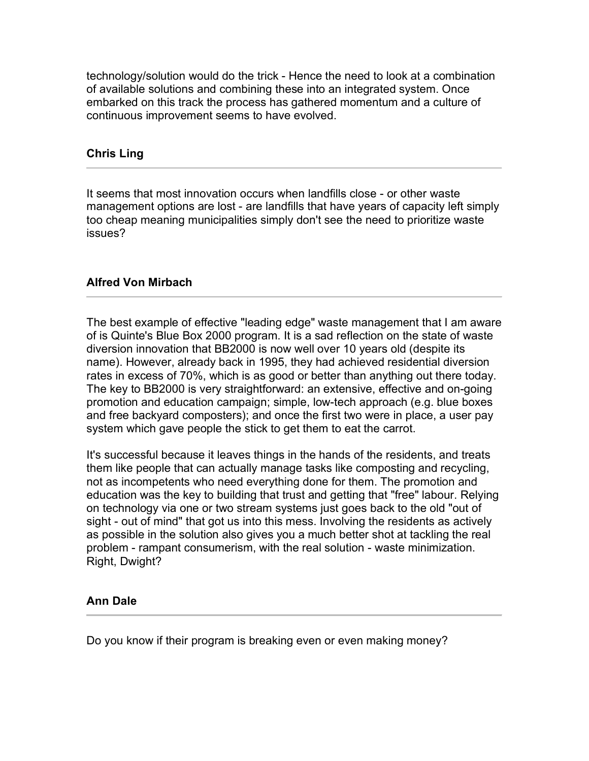technology/solution would do the trick - Hence the need to look at a combination of available solutions and combining these into an integrated system. Once embarked on this track the process has gathered momentum and a culture of continuous improvement seems to have evolved.

# **Chris Ling**

It seems that most innovation occurs when landfills close - or other waste management options are lost - are landfills that have years of capacity left simply too cheap meaning municipalities simply don't see the need to prioritize waste issues?

# **Alfred Von Mirbach**

The best example of effective "leading edge" waste management that I am aware of is Quinte's Blue Box 2000 program. It is a sad reflection on the state of waste diversion innovation that BB2000 is now well over 10 years old (despite its name). However, already back in 1995, they had achieved residential diversion rates in excess of 70%, which is as good or better than anything out there today. The key to BB2000 is very straightforward: an extensive, effective and on-going promotion and education campaign; simple, low-tech approach (e.g. blue boxes and free backyard composters); and once the first two were in place, a user pay system which gave people the stick to get them to eat the carrot.

It's successful because it leaves things in the hands of the residents, and treats them like people that can actually manage tasks like composting and recycling, not as incompetents who need everything done for them. The promotion and education was the key to building that trust and getting that "free" labour. Relying on technology via one or two stream systems just goes back to the old "out of sight - out of mind" that got us into this mess. Involving the residents as actively as possible in the solution also gives you a much better shot at tackling the real problem - rampant consumerism, with the real solution - waste minimization. Right, Dwight?

# **Ann Dale**

Do you know if their program is breaking even or even making money?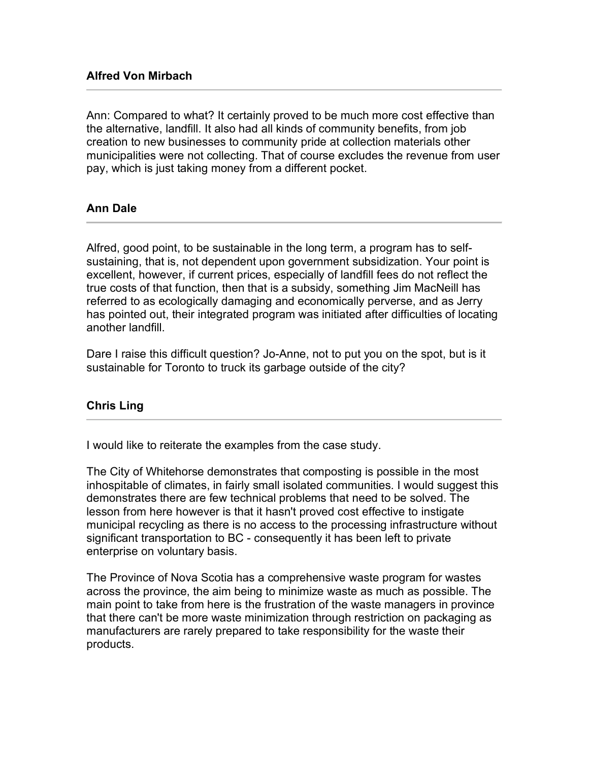Ann: Compared to what? It certainly proved to be much more cost effective than the alternative, landfill. It also had all kinds of community benefits, from job creation to new businesses to community pride at collection materials other municipalities were not collecting. That of course excludes the revenue from user pay, which is just taking money from a different pocket.

# **Ann Dale**

Alfred, good point, to be sustainable in the long term, a program has to selfsustaining, that is, not dependent upon government subsidization. Your point is excellent, however, if current prices, especially of landfill fees do not reflect the true costs of that function, then that is a subsidy, something Jim MacNeill has referred to as ecologically damaging and economically perverse, and as Jerry has pointed out, their integrated program was initiated after difficulties of locating another landfill.

Dare I raise this difficult question? Jo-Anne, not to put you on the spot, but is it sustainable for Toronto to truck its garbage outside of the city?

# **Chris Ling**

I would like to reiterate the examples from the case study.

The City of Whitehorse demonstrates that composting is possible in the most inhospitable of climates, in fairly small isolated communities. I would suggest this demonstrates there are few technical problems that need to be solved. The lesson from here however is that it hasn't proved cost effective to instigate municipal recycling as there is no access to the processing infrastructure without significant transportation to BC - consequently it has been left to private enterprise on voluntary basis.

The Province of Nova Scotia has a comprehensive waste program for wastes across the province, the aim being to minimize waste as much as possible. The main point to take from here is the frustration of the waste managers in province that there can't be more waste minimization through restriction on packaging as manufacturers are rarely prepared to take responsibility for the waste their products.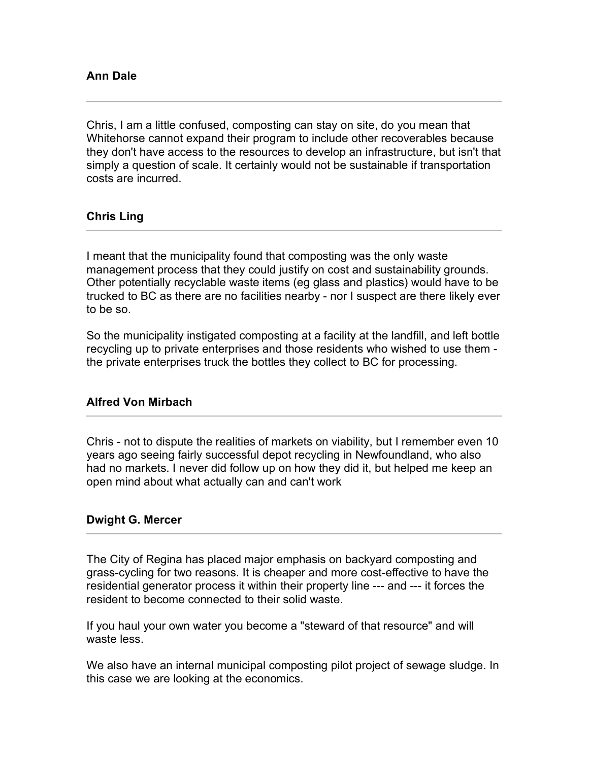Chris, I am a little confused, composting can stay on site, do you mean that Whitehorse cannot expand their program to include other recoverables because they don't have access to the resources to develop an infrastructure, but isn't that simply a question of scale. It certainly would not be sustainable if transportation costs are incurred.

# **Chris Ling**

I meant that the municipality found that composting was the only waste management process that they could justify on cost and sustainability grounds. Other potentially recyclable waste items (eg glass and plastics) would have to be trucked to BC as there are no facilities nearby - nor I suspect are there likely ever to be so.

So the municipality instigated composting at a facility at the landfill, and left bottle recycling up to private enterprises and those residents who wished to use them the private enterprises truck the bottles they collect to BC for processing.

# **Alfred Von Mirbach**

Chris - not to dispute the realities of markets on viability, but I remember even 10 years ago seeing fairly successful depot recycling in Newfoundland, who also had no markets. I never did follow up on how they did it, but helped me keep an open mind about what actually can and can't work

# **Dwight G. Mercer**

The City of Regina has placed major emphasis on backyard composting and grass-cycling for two reasons. It is cheaper and more cost-effective to have the residential generator process it within their property line --- and --- it forces the resident to become connected to their solid waste.

If you haul your own water you become a "steward of that resource" and will waste less.

We also have an internal municipal composting pilot project of sewage sludge. In this case we are looking at the economics.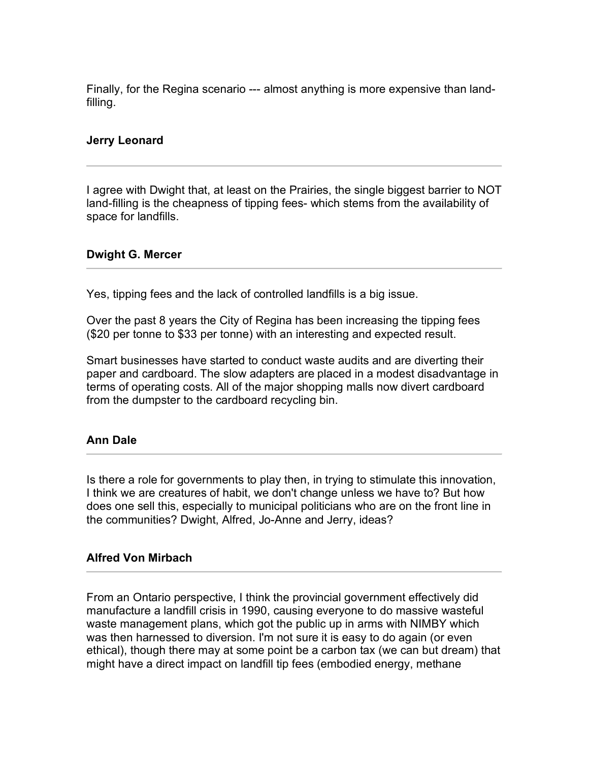Finally, for the Regina scenario --- almost anything is more expensive than landfilling.

# **Jerry Leonard**

I agree with Dwight that, at least on the Prairies, the single biggest barrier to NOT land-filling is the cheapness of tipping fees- which stems from the availability of space for landfills.

### **Dwight G. Mercer**

Yes, tipping fees and the lack of controlled landfills is a big issue.

Over the past 8 years the City of Regina has been increasing the tipping fees (\$20 per tonne to \$33 per tonne) with an interesting and expected result.

Smart businesses have started to conduct waste audits and are diverting their paper and cardboard. The slow adapters are placed in a modest disadvantage in terms of operating costs. All of the major shopping malls now divert cardboard from the dumpster to the cardboard recycling bin.

# **Ann Dale**

Is there a role for governments to play then, in trying to stimulate this innovation, I think we are creatures of habit, we don't change unless we have to? But how does one sell this, especially to municipal politicians who are on the front line in the communities? Dwight, Alfred, Jo-Anne and Jerry, ideas?

### **Alfred Von Mirbach**

From an Ontario perspective, I think the provincial government effectively did manufacture a landfill crisis in 1990, causing everyone to do massive wasteful waste management plans, which got the public up in arms with NIMBY which was then harnessed to diversion. I'm not sure it is easy to do again (or even ethical), though there may at some point be a carbon tax (we can but dream) that might have a direct impact on landfill tip fees (embodied energy, methane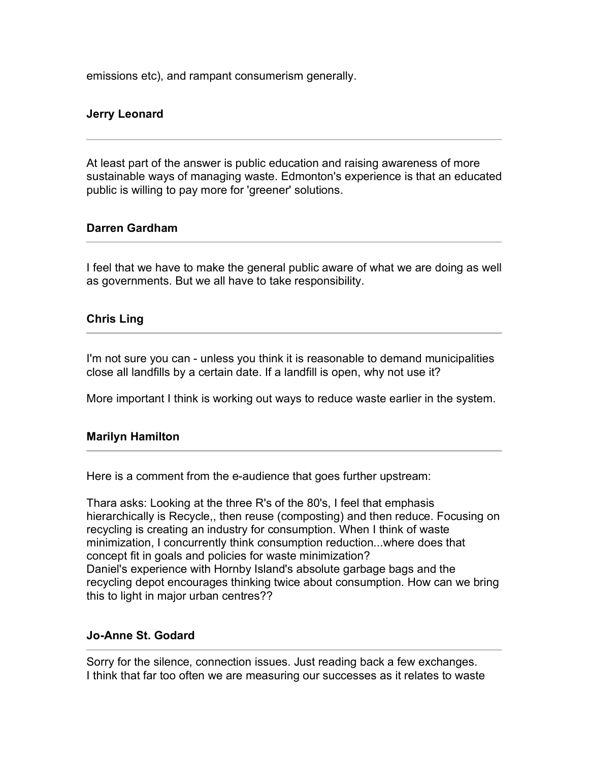emissions etc), and rampant consumerism generally.

# **Jerry Leonard**

At least part of the answer is public education and raising awareness of more sustainable ways of managing waste. Edmonton's experience is that an educated public is willing to pay more for 'greener' solutions.

### **Darren Gardham**

I feel that we have to make the general public aware of what we are doing as well as governments. But we all have to take responsibility.

# **Chris Ling**

I'm not sure you can - unless you think it is reasonable to demand municipalities close all landfills by a certain date. If a landfill is open, why not use it?

More important I think is working out ways to reduce waste earlier in the system.

### **Marilyn Hamilton**

Here is a comment from the e-audience that goes further upstream:

Thara asks: Looking at the three R's of the 80's, I feel that emphasis hierarchically is Recycle,, then reuse (composting) and then reduce. Focusing on recycling is creating an industry for consumption. When I think of waste minimization, I concurrently think consumption reduction...where does that concept fit in goals and policies for waste minimization? Daniel's experience with Hornby Island's absolute garbage bags and the recycling depot encourages thinking twice about consumption. How can we bring this to light in major urban centres??

### **Jo-Anne St. Godard**

Sorry for the silence, connection issues. Just reading back a few exchanges. I think that far too often we are measuring our successes as it relates to waste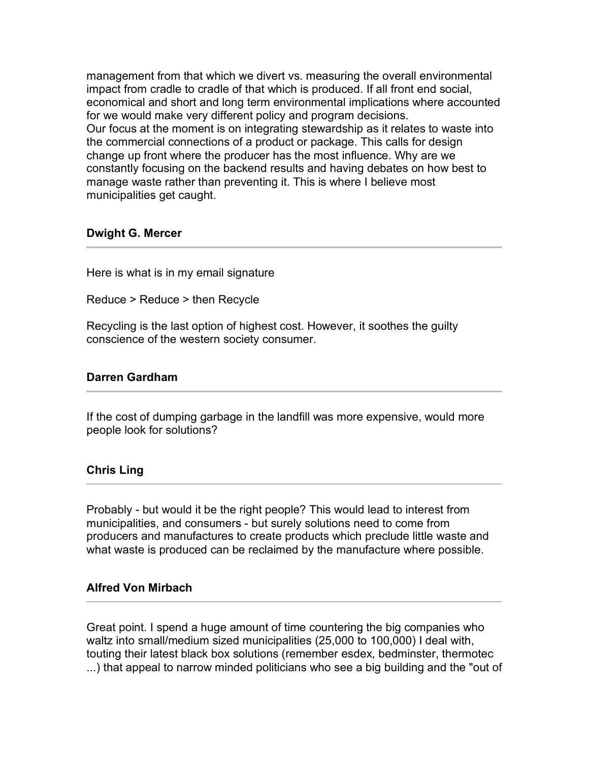management from that which we divert vs. measuring the overall environmental impact from cradle to cradle of that which is produced. If all front end social, economical and short and long term environmental implications where accounted for we would make very different policy and program decisions. Our focus at the moment is on integrating stewardship as it relates to waste into the commercial connections of a product or package. This calls for design change up front where the producer has the most influence. Why are we constantly focusing on the backend results and having debates on how best to manage waste rather than preventing it. This is where I believe most municipalities get caught.

### **Dwight G. Mercer**

Here is what is in my email signature

Reduce > Reduce > then Recycle

Recycling is the last option of highest cost. However, it soothes the guilty conscience of the western society consumer.

### **Darren Gardham**

If the cost of dumping garbage in the landfill was more expensive, would more people look for solutions?

# **Chris Ling**

Probably - but would it be the right people? This would lead to interest from municipalities, and consumers - but surely solutions need to come from producers and manufactures to create products which preclude little waste and what waste is produced can be reclaimed by the manufacture where possible.

### **Alfred Von Mirbach**

Great point. I spend a huge amount of time countering the big companies who waltz into small/medium sized municipalities (25,000 to 100,000) I deal with, touting their latest black box solutions (remember esdex, bedminster, thermotec ...) that appeal to narrow minded politicians who see a big building and the "out of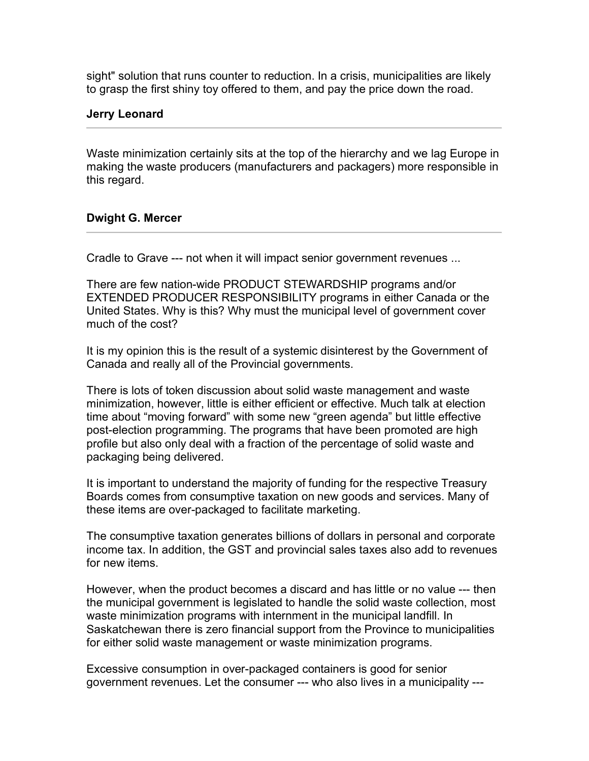sight" solution that runs counter to reduction. In a crisis, municipalities are likely to grasp the first shiny toy offered to them, and pay the price down the road.

### **Jerry Leonard**

Waste minimization certainly sits at the top of the hierarchy and we lag Europe in making the waste producers (manufacturers and packagers) more responsible in this regard.

### **Dwight G. Mercer**

Cradle to Grave --- not when it will impact senior government revenues ...

There are few nation-wide PRODUCT STEWARDSHIP programs and/or EXTENDED PRODUCER RESPONSIBILITY programs in either Canada or the United States. Why is this? Why must the municipal level of government cover much of the cost?

It is my opinion this is the result of a systemic disinterest by the Government of Canada and really all of the Provincial governments.

There is lots of token discussion about solid waste management and waste minimization, however, little is either efficient or effective. Much talk at election time about "moving forward" with some new "green agenda" but little effective post-election programming. The programs that have been promoted are high profile but also only deal with a fraction of the percentage of solid waste and packaging being delivered.

It is important to understand the majority of funding for the respective Treasury Boards comes from consumptive taxation on new goods and services. Many of these items are over-packaged to facilitate marketing.

The consumptive taxation generates billions of dollars in personal and corporate income tax. In addition, the GST and provincial sales taxes also add to revenues for new items.

However, when the product becomes a discard and has little or no value --- then the municipal government is legislated to handle the solid waste collection, most waste minimization programs with internment in the municipal landfill. In Saskatchewan there is zero financial support from the Province to municipalities for either solid waste management or waste minimization programs.

Excessive consumption in over-packaged containers is good for senior government revenues. Let the consumer --- who also lives in a municipality ---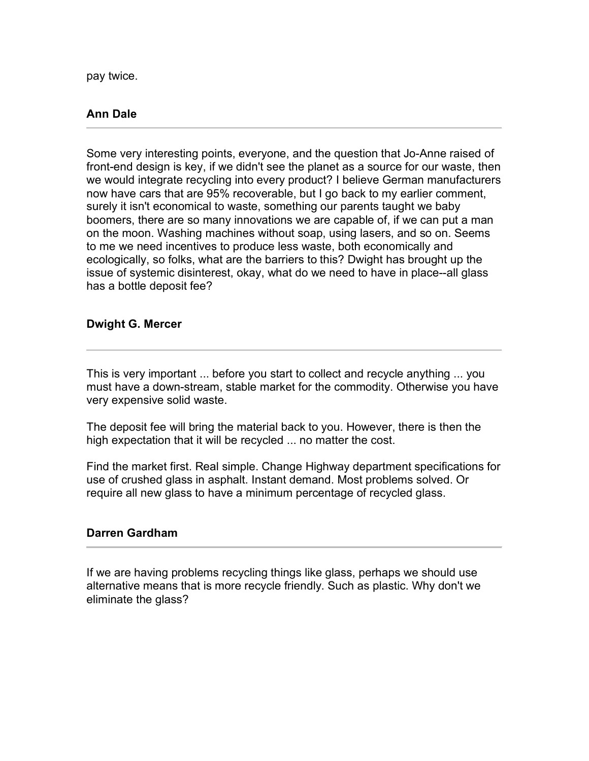pay twice.

# **Ann Dale**

Some very interesting points, everyone, and the question that Jo-Anne raised of front-end design is key, if we didn't see the planet as a source for our waste, then we would integrate recycling into every product? I believe German manufacturers now have cars that are 95% recoverable, but I go back to my earlier comment, surely it isn't economical to waste, something our parents taught we baby boomers, there are so many innovations we are capable of, if we can put a man on the moon. Washing machines without soap, using lasers, and so on. Seems to me we need incentives to produce less waste, both economically and ecologically, so folks, what are the barriers to this? Dwight has brought up the issue of systemic disinterest, okay, what do we need to have in place--all glass has a bottle deposit fee?

# **Dwight G. Mercer**

This is very important ... before you start to collect and recycle anything ... you must have a down-stream, stable market for the commodity. Otherwise you have very expensive solid waste.

The deposit fee will bring the material back to you. However, there is then the high expectation that it will be recycled ... no matter the cost.

Find the market first. Real simple. Change Highway department specifications for use of crushed glass in asphalt. Instant demand. Most problems solved. Or require all new glass to have a minimum percentage of recycled glass.

### **Darren Gardham**

If we are having problems recycling things like glass, perhaps we should use alternative means that is more recycle friendly. Such as plastic. Why don't we eliminate the glass?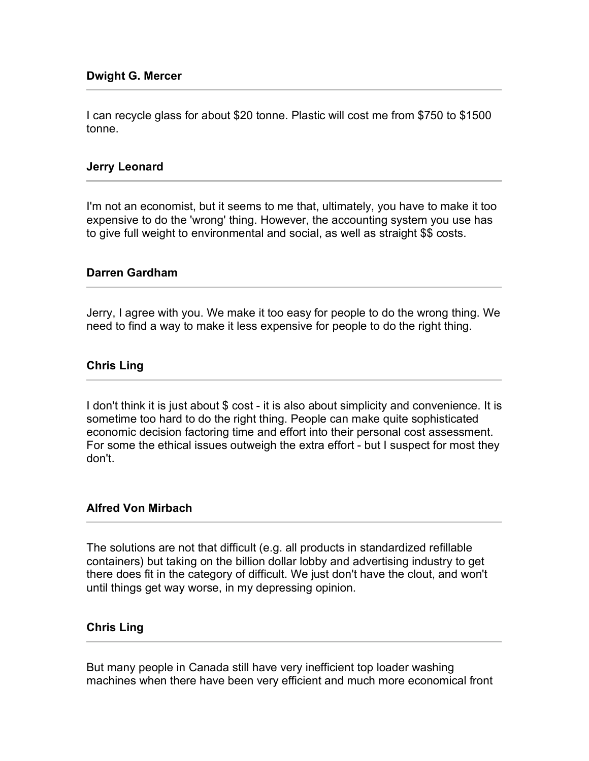I can recycle glass for about \$20 tonne. Plastic will cost me from \$750 to \$1500 tonne.

### **Jerry Leonard**

I'm not an economist, but it seems to me that, ultimately, you have to make it too expensive to do the 'wrong' thing. However, the accounting system you use has to give full weight to environmental and social, as well as straight \$\$ costs.

### **Darren Gardham**

Jerry, I agree with you. We make it too easy for people to do the wrong thing. We need to find a way to make it less expensive for people to do the right thing.

### **Chris Ling**

I don't think it is just about \$ cost - it is also about simplicity and convenience. It is sometime too hard to do the right thing. People can make quite sophisticated economic decision factoring time and effort into their personal cost assessment. For some the ethical issues outweigh the extra effort - but I suspect for most they don't.

### **Alfred Von Mirbach**

The solutions are not that difficult (e.g. all products in standardized refillable containers) but taking on the billion dollar lobby and advertising industry to get there does fit in the category of difficult. We just don't have the clout, and won't until things get way worse, in my depressing opinion.

### **Chris Ling**

But many people in Canada still have very inefficient top loader washing machines when there have been very efficient and much more economical front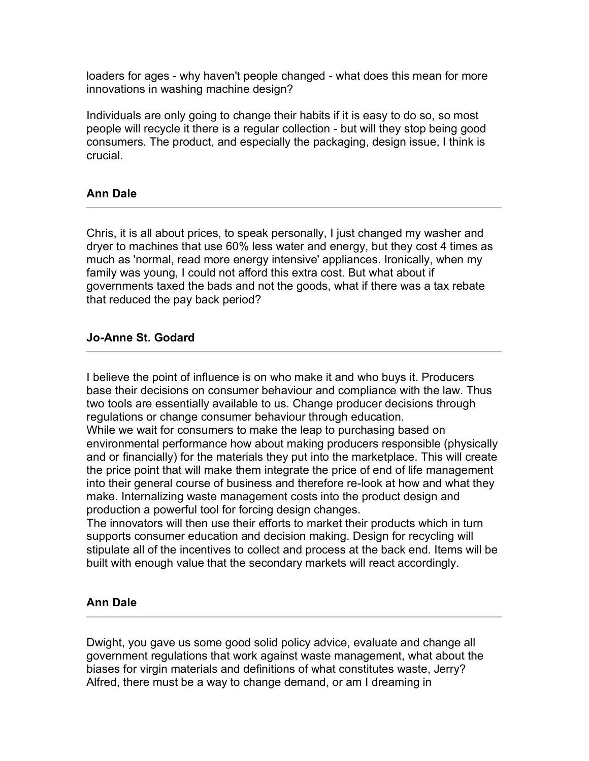loaders for ages - why haven't people changed - what does this mean for more innovations in washing machine design?

Individuals are only going to change their habits if it is easy to do so, so most people will recycle it there is a regular collection - but will they stop being good consumers. The product, and especially the packaging, design issue, I think is crucial.

# **Ann Dale**

Chris, it is all about prices, to speak personally, I just changed my washer and dryer to machines that use 60% less water and energy, but they cost 4 times as much as 'normal, read more energy intensive' appliances. Ironically, when my family was young, I could not afford this extra cost. But what about if governments taxed the bads and not the goods, what if there was a tax rebate that reduced the pay back period?

### **Jo-Anne St. Godard**

I believe the point of influence is on who make it and who buys it. Producers base their decisions on consumer behaviour and compliance with the law. Thus two tools are essentially available to us. Change producer decisions through regulations or change consumer behaviour through education.

While we wait for consumers to make the leap to purchasing based on environmental performance how about making producers responsible (physically and or financially) for the materials they put into the marketplace. This will create the price point that will make them integrate the price of end of life management into their general course of business and therefore re-look at how and what they make. Internalizing waste management costs into the product design and production a powerful tool for forcing design changes.

The innovators will then use their efforts to market their products which in turn supports consumer education and decision making. Design for recycling will stipulate all of the incentives to collect and process at the back end. Items will be built with enough value that the secondary markets will react accordingly.

# **Ann Dale**

Dwight, you gave us some good solid policy advice, evaluate and change all government regulations that work against waste management, what about the biases for virgin materials and definitions of what constitutes waste, Jerry? Alfred, there must be a way to change demand, or am I dreaming in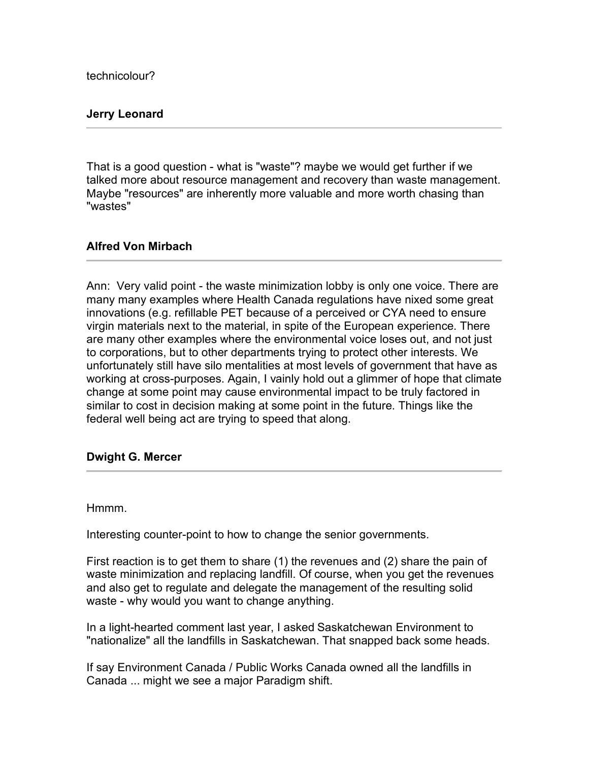technicolour?

## **Jerry Leonard**

That is a good question - what is "waste"? maybe we would get further if we talked more about resource management and recovery than waste management. Maybe "resources" are inherently more valuable and more worth chasing than "wastes"

### **Alfred Von Mirbach**

Ann: Very valid point - the waste minimization lobby is only one voice. There are many many examples where Health Canada regulations have nixed some great innovations (e.g. refillable PET because of a perceived or CYA need to ensure virgin materials next to the material, in spite of the European experience. There are many other examples where the environmental voice loses out, and not just to corporations, but to other departments trying to protect other interests. We unfortunately still have silo mentalities at most levels of government that have as working at cross-purposes. Again, I vainly hold out a glimmer of hope that climate change at some point may cause environmental impact to be truly factored in similar to cost in decision making at some point in the future. Things like the federal well being act are trying to speed that along.

### **Dwight G. Mercer**

Hmmm.

Interesting counter-point to how to change the senior governments.

First reaction is to get them to share (1) the revenues and (2) share the pain of waste minimization and replacing landfill. Of course, when you get the revenues and also get to regulate and delegate the management of the resulting solid waste - why would you want to change anything.

In a light-hearted comment last year, I asked Saskatchewan Environment to "nationalize" all the landfills in Saskatchewan. That snapped back some heads.

If say Environment Canada / Public Works Canada owned all the landfills in Canada ... might we see a major Paradigm shift.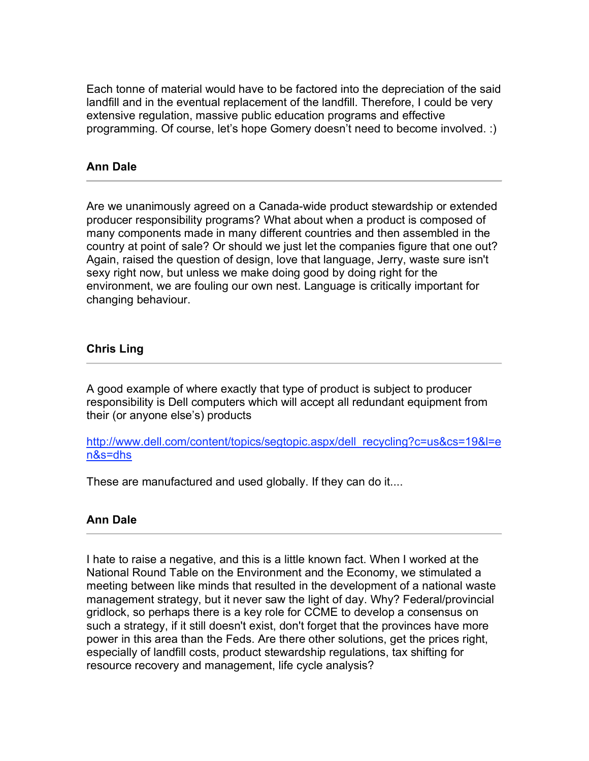Each tonne of material would have to be factored into the depreciation of the said landfill and in the eventual replacement of the landfill. Therefore, I could be very extensive regulation, massive public education programs and effective programming. Of course, let's hope Gomery doesn't need to become involved. :)

# **Ann Dale**

Are we unanimously agreed on a Canada-wide product stewardship or extended producer responsibility programs? What about when a product is composed of many components made in many different countries and then assembled in the country at point of sale? Or should we just let the companies figure that one out? Again, raised the question of design, love that language, Jerry, waste sure isn't sexy right now, but unless we make doing good by doing right for the environment, we are fouling our own nest. Language is critically important for changing behaviour.

# **Chris Ling**

A good example of where exactly that type of product is subject to producer responsibility is Dell computers which will accept all redundant equipment from their (or anyone else's) products

http://www.dell.com/content/topics/segtopic.aspx/dell\_recycling?c=us&cs=19&l=e n&s=dhs

These are manufactured and used globally. If they can do it....

# **Ann Dale**

I hate to raise a negative, and this is a little known fact. When I worked at the National Round Table on the Environment and the Economy, we stimulated a meeting between like minds that resulted in the development of a national waste management strategy, but it never saw the light of day. Why? Federal/provincial gridlock, so perhaps there is a key role for CCME to develop a consensus on such a strategy, if it still doesn't exist, don't forget that the provinces have more power in this area than the Feds. Are there other solutions, get the prices right, especially of landfill costs, product stewardship regulations, tax shifting for resource recovery and management, life cycle analysis?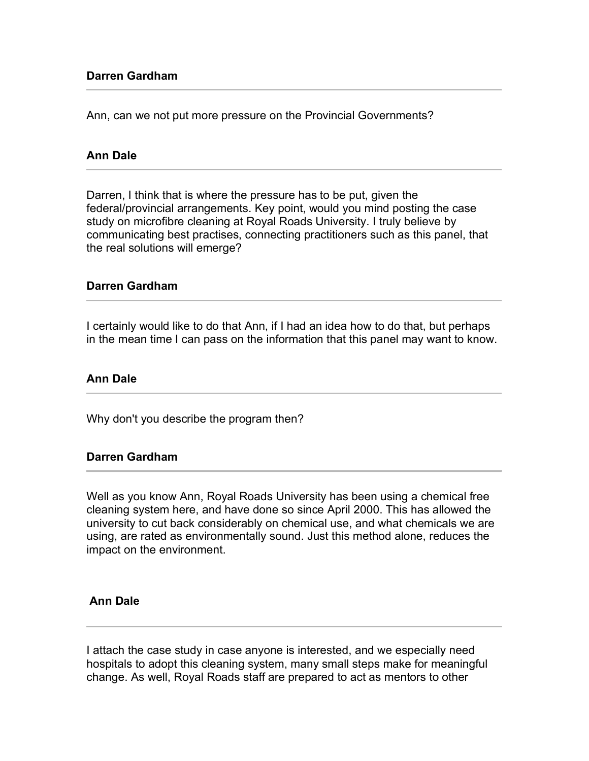## **Darren Gardham**

Ann, can we not put more pressure on the Provincial Governments?

### **Ann Dale**

Darren, I think that is where the pressure has to be put, given the federal/provincial arrangements. Key point, would you mind posting the case study on microfibre cleaning at Royal Roads University. I truly believe by communicating best practises, connecting practitioners such as this panel, that the real solutions will emerge?

#### **Darren Gardham**

I certainly would like to do that Ann, if I had an idea how to do that, but perhaps in the mean time I can pass on the information that this panel may want to know.

### **Ann Dale**

Why don't you describe the program then?

### **Darren Gardham**

Well as you know Ann, Royal Roads University has been using a chemical free cleaning system here, and have done so since April 2000. This has allowed the university to cut back considerably on chemical use, and what chemicals we are using, are rated as environmentally sound. Just this method alone, reduces the impact on the environment.

### **Ann Dale**

I attach the case study in case anyone is interested, and we especially need hospitals to adopt this cleaning system, many small steps make for meaningful change. As well, Royal Roads staff are prepared to act as mentors to other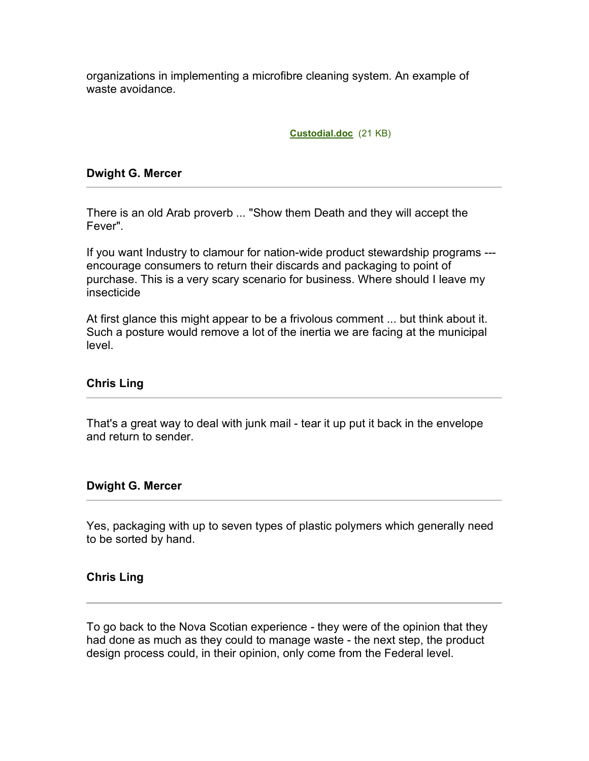organizations in implementing a microfibre cleaning system. An example of waste avoidance.

**Custodial.doc** (21 KB)

## **Dwight G. Mercer**

There is an old Arab proverb ... "Show them Death and they will accept the Fever".

If you want Industry to clamour for nation-wide product stewardship programs -- encourage consumers to return their discards and packaging to point of purchase. This is a very scary scenario for business. Where should I leave my insecticide

At first glance this might appear to be a frivolous comment ... but think about it. Such a posture would remove a lot of the inertia we are facing at the municipal level.

# **Chris Ling**

That's a great way to deal with junk mail - tear it up put it back in the envelope and return to sender.

### **Dwight G. Mercer**

Yes, packaging with up to seven types of plastic polymers which generally need to be sorted by hand.

### **Chris Ling**

To go back to the Nova Scotian experience - they were of the opinion that they had done as much as they could to manage waste - the next step, the product design process could, in their opinion, only come from the Federal level.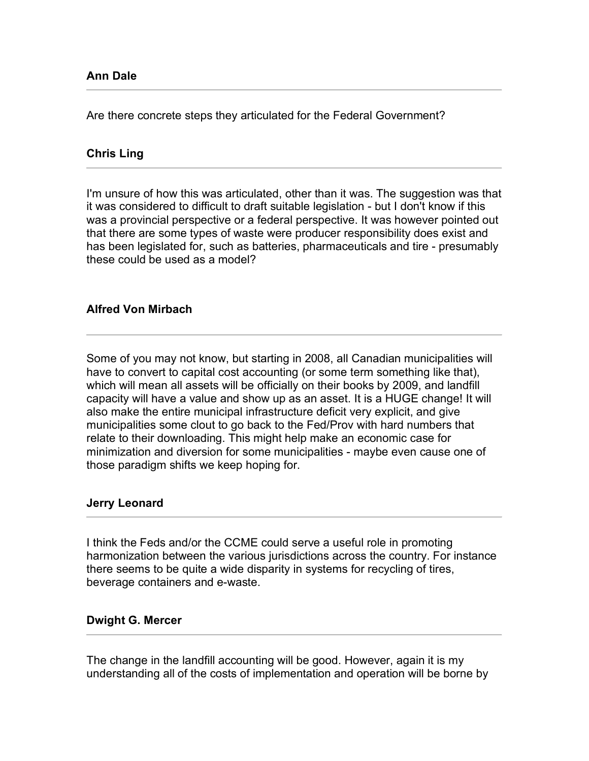Are there concrete steps they articulated for the Federal Government?

# **Chris Ling**

I'm unsure of how this was articulated, other than it was. The suggestion was that it was considered to difficult to draft suitable legislation - but I don't know if this was a provincial perspective or a federal perspective. It was however pointed out that there are some types of waste were producer responsibility does exist and has been legislated for, such as batteries, pharmaceuticals and tire - presumably these could be used as a model?

# **Alfred Von Mirbach**

Some of you may not know, but starting in 2008, all Canadian municipalities will have to convert to capital cost accounting (or some term something like that), which will mean all assets will be officially on their books by 2009, and landfill capacity will have a value and show up as an asset. It is a HUGE change! It will also make the entire municipal infrastructure deficit very explicit, and give municipalities some clout to go back to the Fed/Prov with hard numbers that relate to their downloading. This might help make an economic case for minimization and diversion for some municipalities - maybe even cause one of those paradigm shifts we keep hoping for.

# **Jerry Leonard**

I think the Feds and/or the CCME could serve a useful role in promoting harmonization between the various jurisdictions across the country. For instance there seems to be quite a wide disparity in systems for recycling of tires, beverage containers and e-waste.

### **Dwight G. Mercer**

The change in the landfill accounting will be good. However, again it is my understanding all of the costs of implementation and operation will be borne by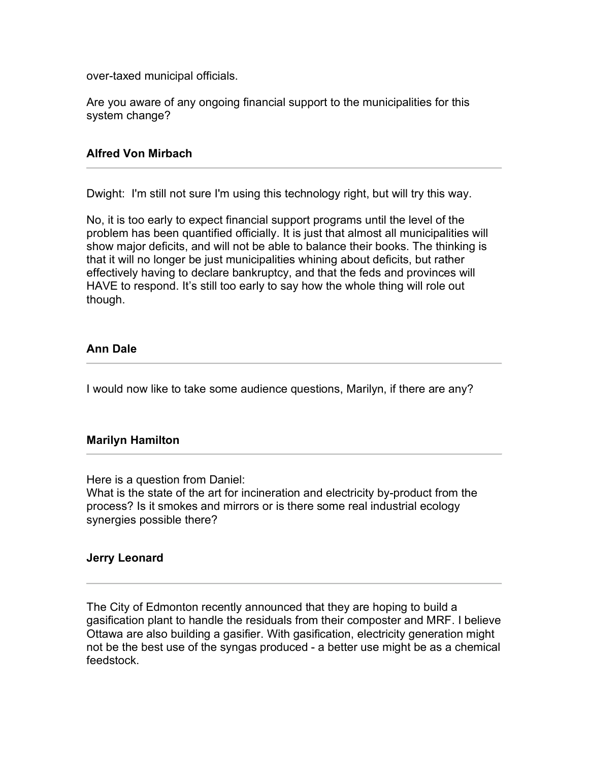over-taxed municipal officials.

Are you aware of any ongoing financial support to the municipalities for this system change?

## **Alfred Von Mirbach**

Dwight: I'm still not sure I'm using this technology right, but will try this way.

No, it is too early to expect financial support programs until the level of the problem has been quantified officially. It is just that almost all municipalities will show major deficits, and will not be able to balance their books. The thinking is that it will no longer be just municipalities whining about deficits, but rather effectively having to declare bankruptcy, and that the feds and provinces will HAVE to respond. It's still too early to say how the whole thing will role out though.

# **Ann Dale**

I would now like to take some audience questions, Marilyn, if there are any?

# **Marilyn Hamilton**

Here is a question from Daniel:

What is the state of the art for incineration and electricity by-product from the process? Is it smokes and mirrors or is there some real industrial ecology synergies possible there?

### **Jerry Leonard**

The City of Edmonton recently announced that they are hoping to build a gasification plant to handle the residuals from their composter and MRF. I believe Ottawa are also building a gasifier. With gasification, electricity generation might not be the best use of the syngas produced - a better use might be as a chemical feedstock.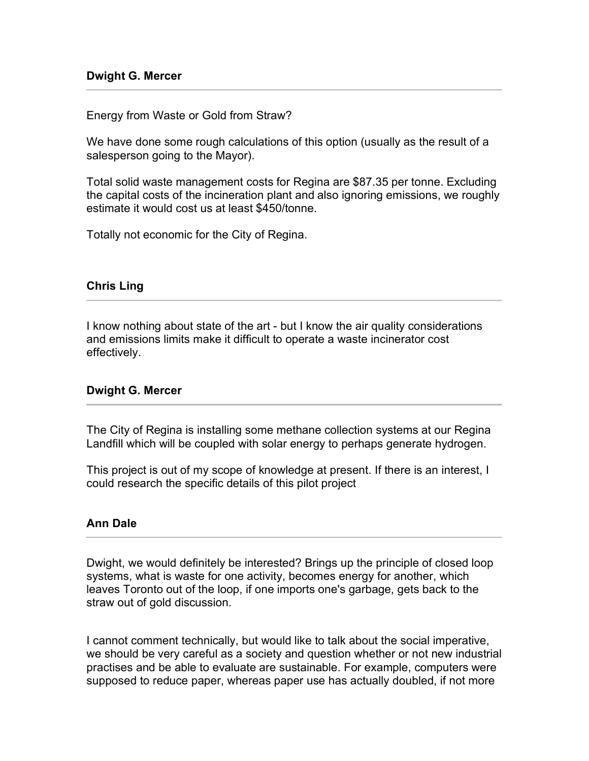### **Dwight G. Mercer**

Energy from Waste or Gold from Straw?

We have done some rough calculations of this option (usually as the result of a salesperson going to the Mayor).

Total solid waste management costs for Regina are \$87.35 per tonne. Excluding the capital costs of the incineration plant and also ignoring emissions, we roughly estimate it would cost us at least \$450/tonne.

Totally not economic for the City of Regina.

### **Chris Ling**

I know nothing about state of the art - but I know the air quality considerations and emissions limits make it difficult to operate a waste incinerator cost effectively.

### **Dwight G. Mercer**

The City of Regina is installing some methane collection systems at our Regina Landfill which will be coupled with solar energy to perhaps generate hydrogen.

This project is out of my scope of knowledge at present. If there is an interest, I could research the specific details of this pilot project

### **Ann Dale**

Dwight, we would definitely be interested? Brings up the principle of closed loop systems, what is waste for one activity, becomes energy for another, which leaves Toronto out of the loop, if one imports one's garbage, gets back to the straw out of gold discussion.

I cannot comment technically, but would like to talk about the social imperative, we should be very careful as a society and question whether or not new industrial practises and be able to evaluate are sustainable. For example, computers were supposed to reduce paper, whereas paper use has actually doubled, if not more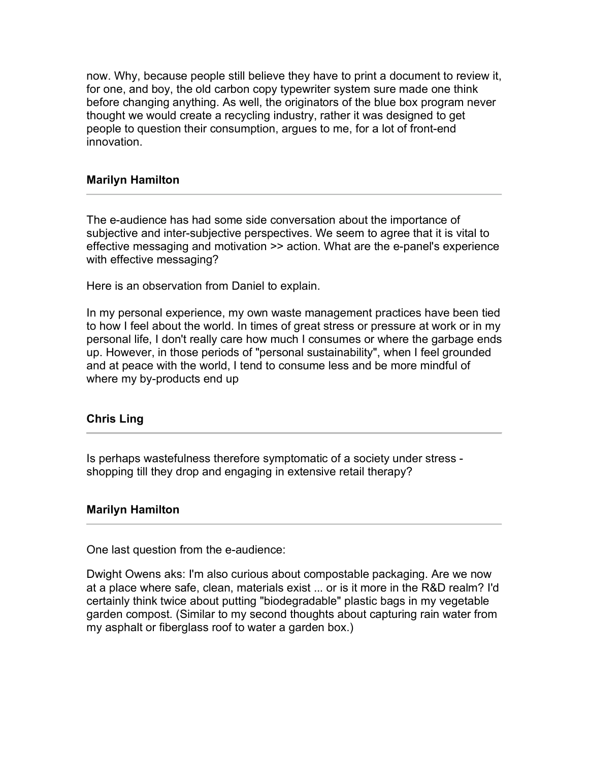now. Why, because people still believe they have to print a document to review it, for one, and boy, the old carbon copy typewriter system sure made one think before changing anything. As well, the originators of the blue box program never thought we would create a recycling industry, rather it was designed to get people to question their consumption, argues to me, for a lot of front-end innovation.

## **Marilyn Hamilton**

The e-audience has had some side conversation about the importance of subjective and inter-subjective perspectives. We seem to agree that it is vital to effective messaging and motivation >> action. What are the e-panel's experience with effective messaging?

Here is an observation from Daniel to explain.

In my personal experience, my own waste management practices have been tied to how I feel about the world. In times of great stress or pressure at work or in my personal life, I don't really care how much I consumes or where the garbage ends up. However, in those periods of "personal sustainability", when I feel grounded and at peace with the world, I tend to consume less and be more mindful of where my by-products end up

# **Chris Ling**

Is perhaps wastefulness therefore symptomatic of a society under stress shopping till they drop and engaging in extensive retail therapy?

### **Marilyn Hamilton**

One last question from the e-audience:

Dwight Owens aks: I'm also curious about compostable packaging. Are we now at a place where safe, clean, materials exist ... or is it more in the R&D realm? I'd certainly think twice about putting "biodegradable" plastic bags in my vegetable garden compost. (Similar to my second thoughts about capturing rain water from my asphalt or fiberglass roof to water a garden box.)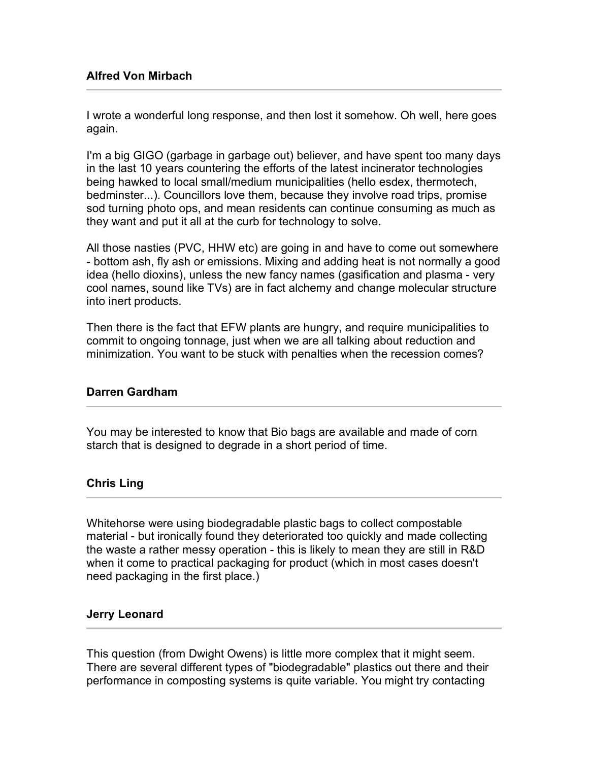# **Alfred Von Mirbach**

I wrote a wonderful long response, and then lost it somehow. Oh well, here goes again.

I'm a big GIGO (garbage in garbage out) believer, and have spent too many days in the last 10 years countering the efforts of the latest incinerator technologies being hawked to local small/medium municipalities (hello esdex, thermotech, bedminster...). Councillors love them, because they involve road trips, promise sod turning photo ops, and mean residents can continue consuming as much as they want and put it all at the curb for technology to solve.

All those nasties (PVC, HHW etc) are going in and have to come out somewhere - bottom ash, fly ash or emissions. Mixing and adding heat is not normally a good idea (hello dioxins), unless the new fancy names (gasification and plasma - very cool names, sound like TVs) are in fact alchemy and change molecular structure into inert products.

Then there is the fact that EFW plants are hungry, and require municipalities to commit to ongoing tonnage, just when we are all talking about reduction and minimization. You want to be stuck with penalties when the recession comes?

# **Darren Gardham**

You may be interested to know that Bio bags are available and made of corn starch that is designed to degrade in a short period of time.

# **Chris Ling**

Whitehorse were using biodegradable plastic bags to collect compostable material - but ironically found they deteriorated too quickly and made collecting the waste a rather messy operation - this is likely to mean they are still in R&D when it come to practical packaging for product (which in most cases doesn't need packaging in the first place.)

# **Jerry Leonard**

This question (from Dwight Owens) is little more complex that it might seem. There are several different types of "biodegradable" plastics out there and their performance in composting systems is quite variable. You might try contacting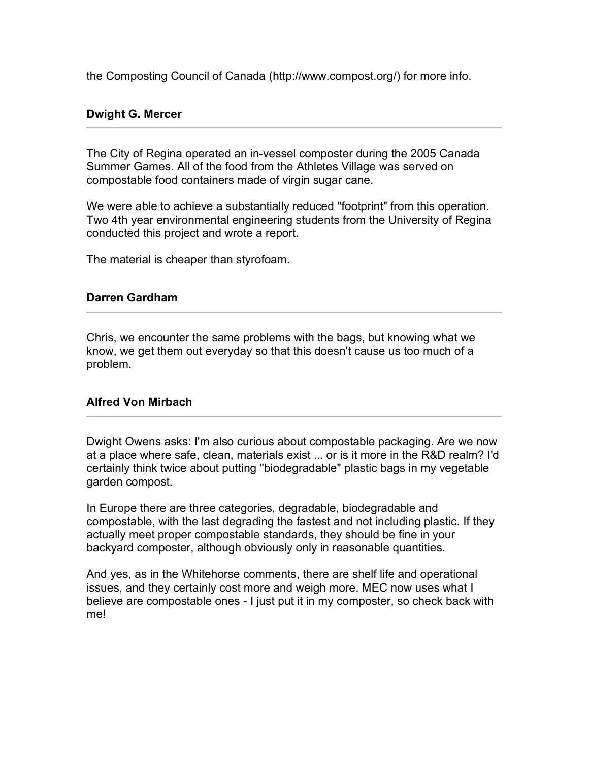the Composting Council of Canada (http://www.compost.org/) for more info.

### **Dwight G. Mercer**

The City of Regina operated an in-vessel composter during the 2005 Canada Summer Games. All of the food from the Athletes Village was served on compostable food containers made of virgin sugar cane.

We were able to achieve a substantially reduced "footprint" from this operation. Two 4th year environmental engineering students from the University of Regina conducted this project and wrote a report.

The material is cheaper than styrofoam.

### **Darren Gardham**

Chris, we encounter the same problems with the bags, but knowing what we know, we get them out everyday so that this doesn't cause us too much of a problem.

### **Alfred Von Mirbach**

Dwight Owens asks: I'm also curious about compostable packaging. Are we now at a place where safe, clean, materials exist ... or is it more in the R&D realm? I'd certainly think twice about putting "biodegradable" plastic bags in my vegetable garden compost.

In Europe there are three categories, degradable, biodegradable and compostable, with the last degrading the fastest and not including plastic. If they actually meet proper compostable standards, they should be fine in your backyard composter, although obviously only in reasonable quantities.

And yes, as in the Whitehorse comments, there are shelf life and operational issues, and they certainly cost more and weigh more. MEC now uses what I believe are compostable ones - I just put it in my composter, so check back with me!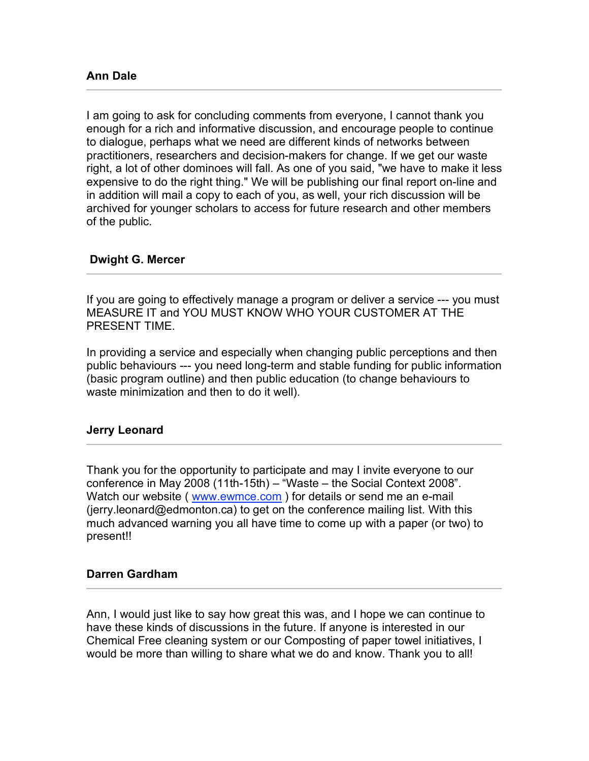I am going to ask for concluding comments from everyone, I cannot thank you enough for a rich and informative discussion, and encourage people to continue to dialogue, perhaps what we need are different kinds of networks between practitioners, researchers and decision-makers for change. If we get our waste right, a lot of other dominoes will fall. As one of you said, "we have to make it less expensive to do the right thing." We will be publishing our final report on-line and in addition will mail a copy to each of you, as well, your rich discussion will be archived for younger scholars to access for future research and other members of the public.

# **Dwight G. Mercer**

If you are going to effectively manage a program or deliver a service --- you must MEASURE IT and YOU MUST KNOW WHO YOUR CUSTOMER AT THE PRESENT TIME.

In providing a service and especially when changing public perceptions and then public behaviours --- you need long-term and stable funding for public information (basic program outline) and then public education (to change behaviours to waste minimization and then to do it well).

# **Jerry Leonard**

Thank you for the opportunity to participate and may I invite everyone to our conference in May 2008 (11th-15th) – "Waste – the Social Context 2008". Watch our website (www.ewmce.com) for details or send me an e-mail (jerry.leonard@edmonton.ca) to get on the conference mailing list. With this much advanced warning you all have time to come up with a paper (or two) to present!!

# **Darren Gardham**

Ann, I would just like to say how great this was, and I hope we can continue to have these kinds of discussions in the future. If anyone is interested in our Chemical Free cleaning system or our Composting of paper towel initiatives, I would be more than willing to share what we do and know. Thank you to all!